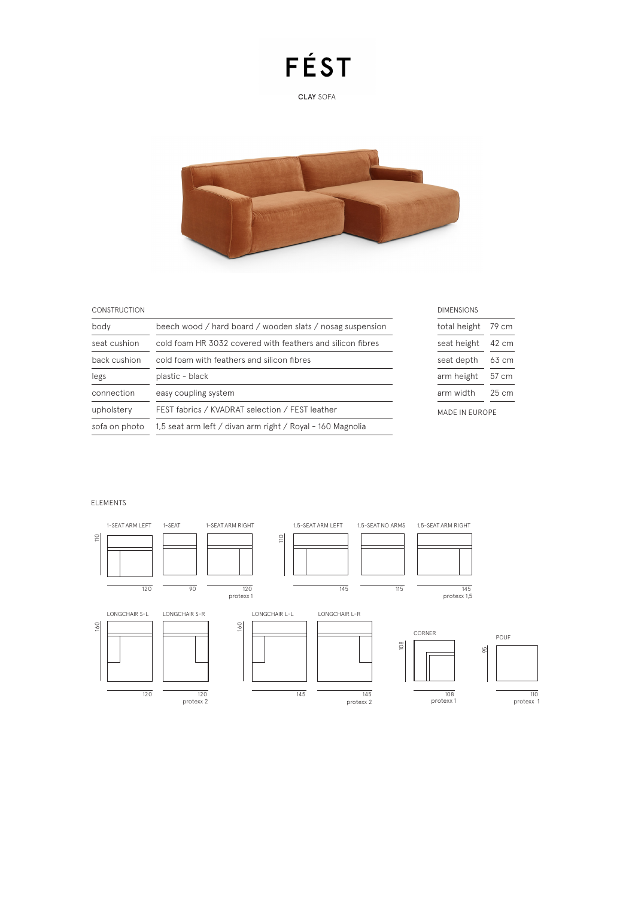## FÉST

CLAY SOFA



79 cm 42 cm 63 cm 57 cm  $25 cm$ 

### CONSTRUCTION

| <b>CONSTRUCTION</b> |                                                            | <b>DIMENSIONS</b>     |    |
|---------------------|------------------------------------------------------------|-----------------------|----|
| body                | beech wood / hard board / wooden slats / nosag suspension  | total height          | 79 |
| seat cushion        | cold foam HR 3032 covered with feathers and silicon fibres | seat height           | 42 |
| back cushion        | cold foam with feathers and silicon fibres                 | seat depth            | 63 |
| legs                | plastic - black                                            | arm height            | 57 |
| connection          | easy coupling system                                       | arm width             | 25 |
| upholstery          | FEST fabrics / KVADRAT selection / FEST leather            | <b>MADE IN EUROPE</b> |    |
| sofa on photo       | 1,5 seat arm left / divan arm right / Royal - 160 Magnolia |                       |    |
|                     |                                                            |                       |    |

### ELEMENTS

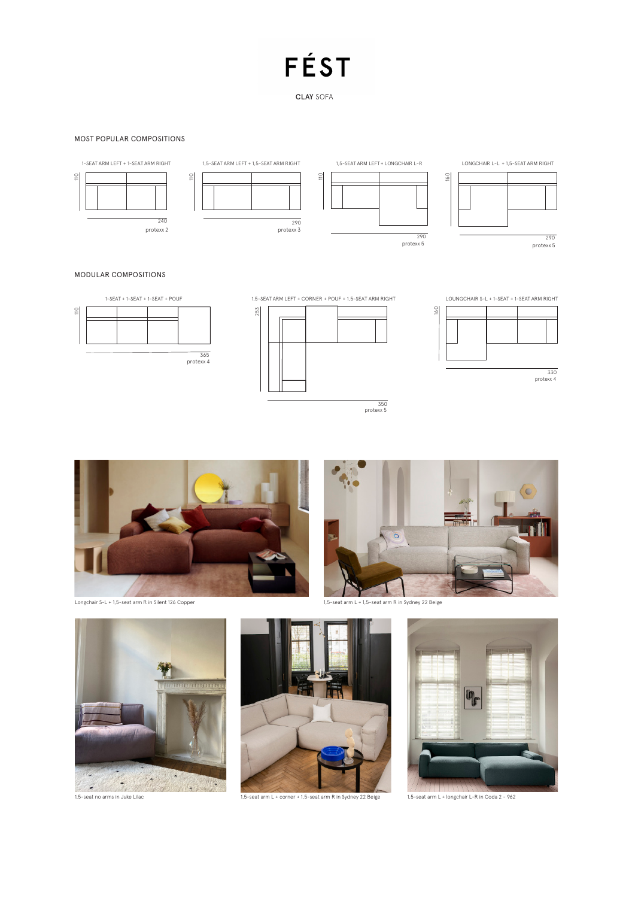# FÉST

CLAY SOFA

### MOST POPULAR COMPOSITIONS



### MODULAR COMPOSITIONS











Longchair S-L + 1,5-seat arm R in Silent 126 Copper



1,5-seat arm L + 1,5-seat arm R in Sydney 22 Beige





1,5-seat arm L + corner + 1,5-seat arm R in Sydney 22 Beige



1,5-seat arm L + longchair L-R in Coda 2 - 962